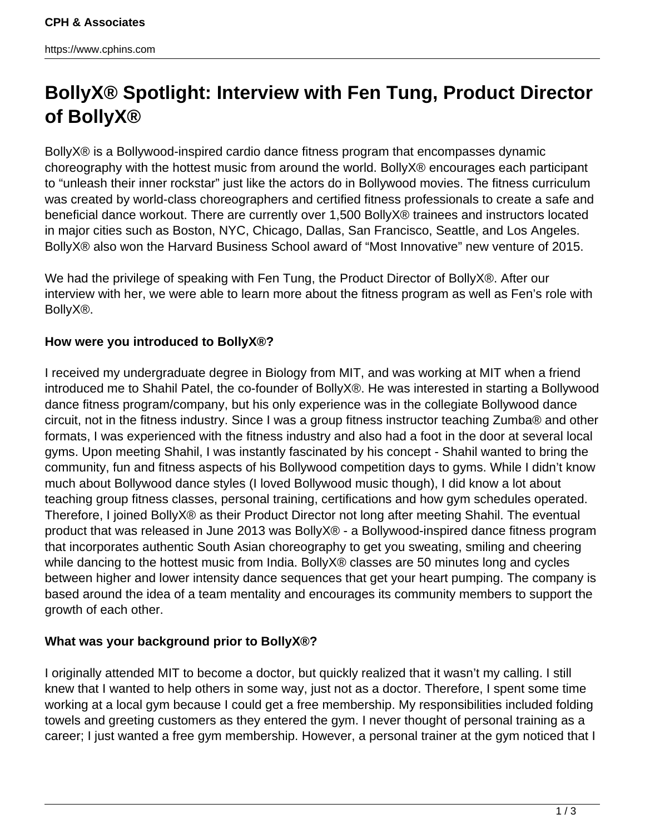# **BollyX® Spotlight: Interview with Fen Tung, Product Director of BollyX®**

BollyX® is a Bollywood-inspired cardio dance fitness program that encompasses dynamic choreography with the hottest music from around the world. BollyX® encourages each participant to "unleash their inner rockstar" just like the actors do in Bollywood movies. The fitness curriculum was created by world-class choreographers and certified fitness professionals to create a safe and beneficial dance workout. There are currently over 1,500 BollyX® trainees and instructors located in major cities such as Boston, NYC, Chicago, Dallas, San Francisco, Seattle, and Los Angeles. BollyX® also won the Harvard Business School award of "Most Innovative" new venture of 2015.

We had the privilege of speaking with Fen Tung, the Product Director of BollyX®. After our interview with her, we were able to learn more about the fitness program as well as Fen's role with BollyX®.

# **How were you introduced to BollyX®?**

I received my undergraduate degree in Biology from MIT, and was working at MIT when a friend introduced me to Shahil Patel, the co-founder of BollyX®. He was interested in starting a Bollywood dance fitness program/company, but his only experience was in the collegiate Bollywood dance circuit, not in the fitness industry. Since I was a group fitness instructor teaching Zumba® and other formats, I was experienced with the fitness industry and also had a foot in the door at several local gyms. Upon meeting Shahil, I was instantly fascinated by his concept - Shahil wanted to bring the community, fun and fitness aspects of his Bollywood competition days to gyms. While I didn't know much about Bollywood dance styles (I loved Bollywood music though), I did know a lot about teaching group fitness classes, personal training, certifications and how gym schedules operated. Therefore, I joined BollyX® as their Product Director not long after meeting Shahil. The eventual product that was released in June 2013 was BollyX® - a Bollywood-inspired dance fitness program that incorporates authentic South Asian choreography to get you sweating, smiling and cheering while dancing to the hottest music from India. BollyX<sup>®</sup> classes are 50 minutes long and cycles between higher and lower intensity dance sequences that get your heart pumping. The company is based around the idea of a team mentality and encourages its community members to support the growth of each other.

# **What was your background prior to BollyX®?**

I originally attended MIT to become a doctor, but quickly realized that it wasn't my calling. I still knew that I wanted to help others in some way, just not as a doctor. Therefore, I spent some time working at a local gym because I could get a free membership. My responsibilities included folding towels and greeting customers as they entered the gym. I never thought of personal training as a career; I just wanted a free gym membership. However, a personal trainer at the gym noticed that I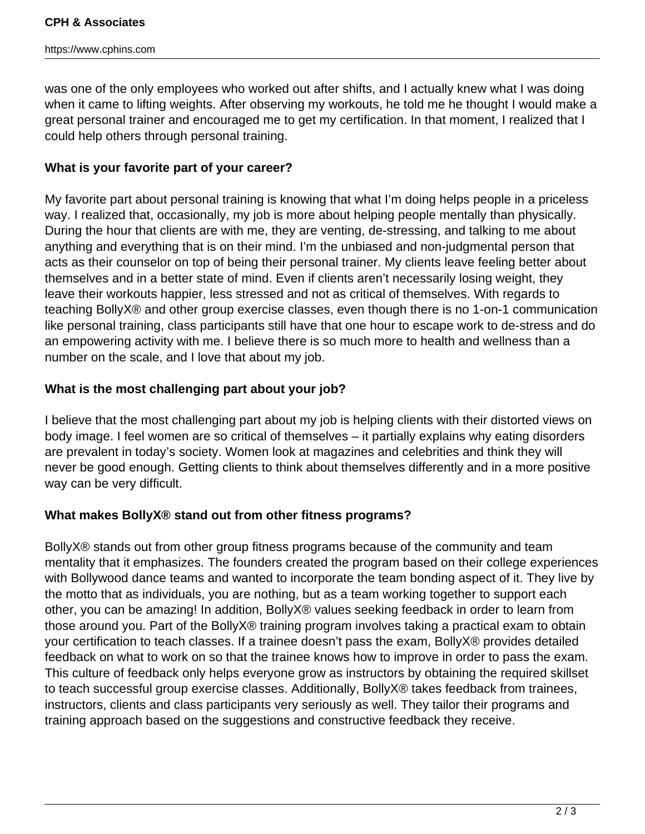was one of the only employees who worked out after shifts, and I actually knew what I was doing when it came to lifting weights. After observing my workouts, he told me he thought I would make a great personal trainer and encouraged me to get my certification. In that moment, I realized that I could help others through personal training.

## **What is your favorite part of your career?**

My favorite part about personal training is knowing that what I'm doing helps people in a priceless way. I realized that, occasionally, my job is more about helping people mentally than physically. During the hour that clients are with me, they are venting, de-stressing, and talking to me about anything and everything that is on their mind. I'm the unbiased and non-judgmental person that acts as their counselor on top of being their personal trainer. My clients leave feeling better about themselves and in a better state of mind. Even if clients aren't necessarily losing weight, they leave their workouts happier, less stressed and not as critical of themselves. With regards to teaching BollyX® and other group exercise classes, even though there is no 1-on-1 communication like personal training, class participants still have that one hour to escape work to de-stress and do an empowering activity with me. I believe there is so much more to health and wellness than a number on the scale, and I love that about my job.

#### **What is the most challenging part about your job?**

I believe that the most challenging part about my job is helping clients with their distorted views on body image. I feel women are so critical of themselves – it partially explains why eating disorders are prevalent in today's society. Women look at magazines and celebrities and think they will never be good enough. Getting clients to think about themselves differently and in a more positive way can be very difficult.

#### **What makes BollyX® stand out from other fitness programs?**

BollyX® stands out from other group fitness programs because of the community and team mentality that it emphasizes. The founders created the program based on their college experiences with Bollywood dance teams and wanted to incorporate the team bonding aspect of it. They live by the motto that as individuals, you are nothing, but as a team working together to support each other, you can be amazing! In addition, BollyX® values seeking feedback in order to learn from those around you. Part of the BollyX® training program involves taking a practical exam to obtain your certification to teach classes. If a trainee doesn't pass the exam, BollyX® provides detailed feedback on what to work on so that the trainee knows how to improve in order to pass the exam. This culture of feedback only helps everyone grow as instructors by obtaining the required skillset to teach successful group exercise classes. Additionally, BollyX® takes feedback from trainees, instructors, clients and class participants very seriously as well. They tailor their programs and training approach based on the suggestions and constructive feedback they receive.